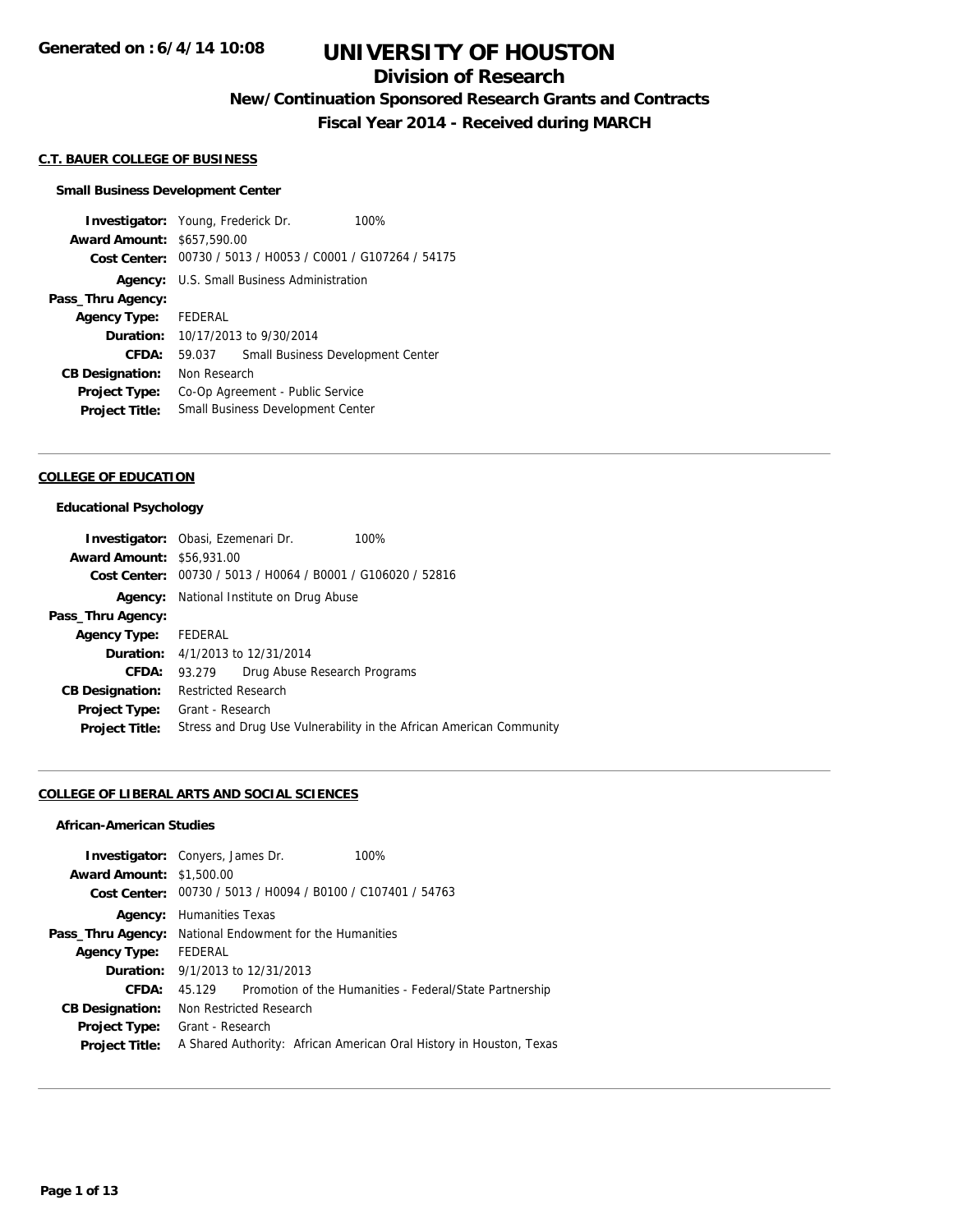## **Division of Research**

**New/Continuation Sponsored Research Grants and Contracts**

**Fiscal Year 2014 - Received during MARCH**

#### **C.T. BAUER COLLEGE OF BUSINESS**

#### **Small Business Development Center**

**Investigator:** Young, Frederick Dr. 100% **Award Amount:** \$657,590.00 **Cost Center:** 00730 / 5013 / H0053 / C0001 / G107264 / 54175 **Agency:** U.S. Small Business Administration **Pass\_Thru Agency: Agency Type:** FEDERAL **Duration:** 10/17/2013 to 9/30/2014 **CFDA:** 59.037 Small Business Development Center **CB Designation:** Non Research **Project Type:** Co-Op Agreement - Public Service **Project Title:** Small Business Development Center

## **COLLEGE OF EDUCATION**

### **Educational Psychology**

|                                  | <b>Investigator:</b> Obasi, Ezemenari Dr.                   | 100%                                                                |
|----------------------------------|-------------------------------------------------------------|---------------------------------------------------------------------|
| <b>Award Amount: \$56,931.00</b> |                                                             |                                                                     |
|                                  | Cost Center: 00730 / 5013 / H0064 / B0001 / G106020 / 52816 |                                                                     |
|                                  | <b>Agency:</b> National Institute on Drug Abuse             |                                                                     |
| Pass_Thru Agency:                |                                                             |                                                                     |
| Agency Type: FEDERAL             |                                                             |                                                                     |
|                                  | <b>Duration:</b> 4/1/2013 to 12/31/2014                     |                                                                     |
| CFDA:                            | Drug Abuse Research Programs<br>93.279                      |                                                                     |
| <b>CB Designation:</b>           | <b>Restricted Research</b>                                  |                                                                     |
|                                  | <b>Project Type:</b> Grant - Research                       |                                                                     |
| <b>Project Title:</b>            |                                                             | Stress and Drug Use Vulnerability in the African American Community |

### **COLLEGE OF LIBERAL ARTS AND SOCIAL SCIENCES**

### **African-American Studies**

|                                 | <b>Investigator:</b> Convers, James Dr.                        | 100%                                                                |  |  |
|---------------------------------|----------------------------------------------------------------|---------------------------------------------------------------------|--|--|
| <b>Award Amount: \$1,500.00</b> |                                                                |                                                                     |  |  |
|                                 | Cost Center: 00730 / 5013 / H0094 / B0100 / C107401 / 54763    |                                                                     |  |  |
| Agency:                         | <b>Humanities Texas</b>                                        |                                                                     |  |  |
|                                 | <b>Pass_Thru Agency:</b> National Endowment for the Humanities |                                                                     |  |  |
| <b>Agency Type:</b>             | FEDERAL                                                        |                                                                     |  |  |
|                                 | <b>Duration:</b> $9/1/2013$ to $12/31/2013$                    |                                                                     |  |  |
| CFDA:                           | 45.129                                                         | Promotion of the Humanities - Federal/State Partnership             |  |  |
| <b>CB Designation:</b>          | Non Restricted Research                                        |                                                                     |  |  |
| Project Type:                   | Grant - Research                                               |                                                                     |  |  |
| <b>Project Title:</b>           |                                                                | A Shared Authority: African American Oral History in Houston, Texas |  |  |
|                                 |                                                                |                                                                     |  |  |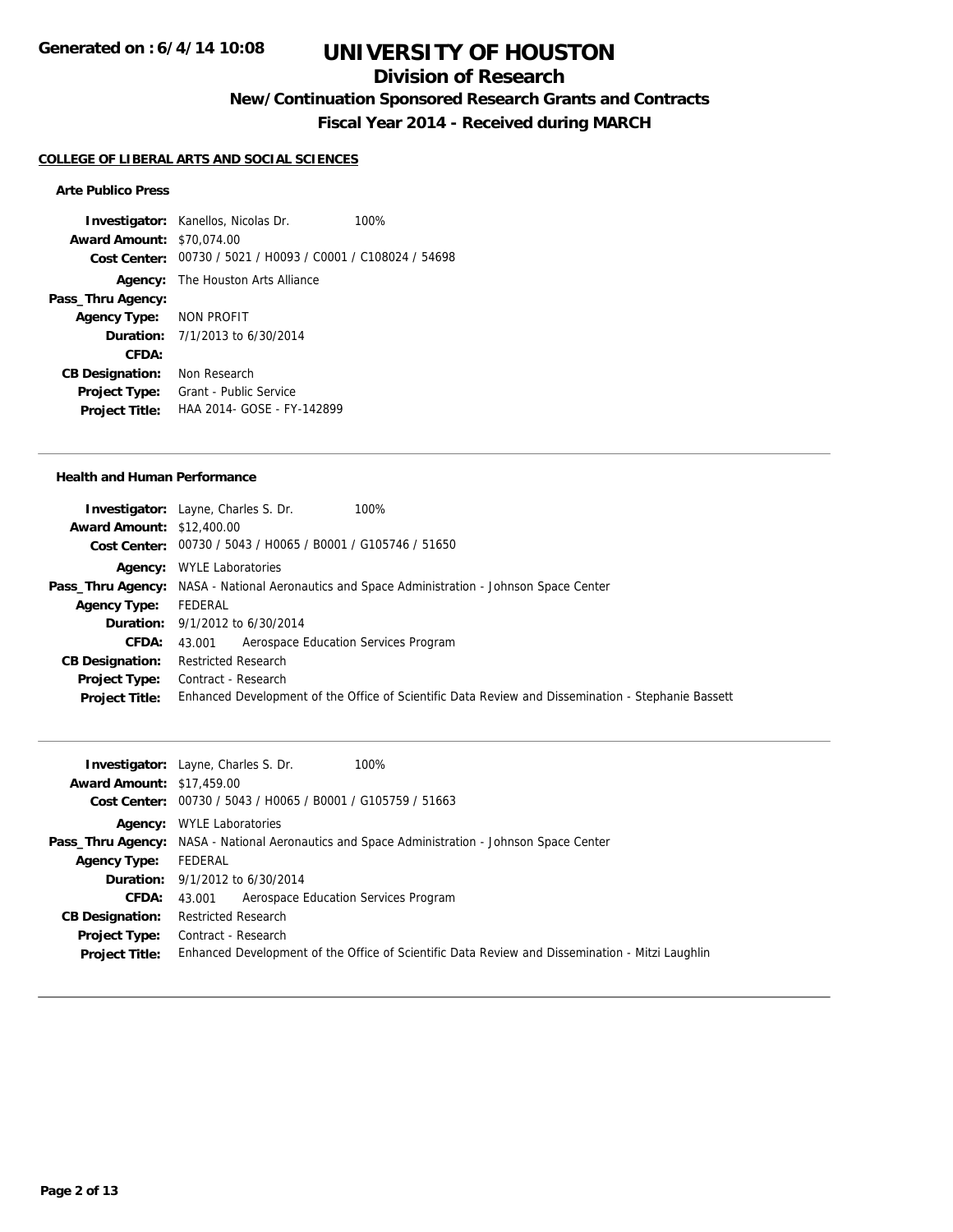## **Division of Research**

**New/Continuation Sponsored Research Grants and Contracts**

**Fiscal Year 2014 - Received during MARCH**

#### **COLLEGE OF LIBERAL ARTS AND SOCIAL SCIENCES**

### **Arte Publico Press**

**Investigator:** Kanellos, Nicolas Dr. 100% **Award Amount:** \$70,074.00 **Cost Center:** 00730 / 5021 / H0093 / C0001 / C108024 / 54698 **Agency:** The Houston Arts Alliance **Pass\_Thru Agency: Agency Type:** NON PROFIT **Duration:** 7/1/2013 to 6/30/2014 **CFDA: CB Designation:** Non Research **Project Type:** Grant - Public Service **Project Title:** HAA 2014- GOSE - FY-142899

### **Health and Human Performance**

| <b>Investigator:</b> Layne, Charles S. Dr.<br>100%                                                   |
|------------------------------------------------------------------------------------------------------|
| <b>Award Amount: \$12,400.00</b>                                                                     |
| Cost Center: 00730 / 5043 / H0065 / B0001 / G105746 / 51650                                          |
| <b>Agency:</b> WYLE Laboratories                                                                     |
| <b>Pass_Thru Agency:</b> NASA - National Aeronautics and Space Administration - Johnson Space Center |
| FEDERAL                                                                                              |
| <b>Duration:</b> $9/1/2012$ to $6/30/2014$                                                           |
| 43.001 Aerospace Education Services Program                                                          |
| <b>Restricted Research</b>                                                                           |
| Contract - Research                                                                                  |
| Enhanced Development of the Office of Scientific Data Review and Dissemination - Stephanie Bassett   |
|                                                                                                      |

|                                  | <b>Investigator:</b> Layne, Charles S. Dr.<br>100%                                                   |
|----------------------------------|------------------------------------------------------------------------------------------------------|
| <b>Award Amount: \$17,459.00</b> |                                                                                                      |
|                                  | Cost Center: 00730 / 5043 / H0065 / B0001 / G105759 / 51663                                          |
|                                  | <b>Agency:</b> WYLE Laboratories                                                                     |
|                                  | <b>Pass_Thru Agency:</b> NASA - National Aeronautics and Space Administration - Johnson Space Center |
| <b>Agency Type:</b>              | FEDERAL                                                                                              |
|                                  | <b>Duration:</b> $9/1/2012$ to $6/30/2014$                                                           |
| <b>CFDA:</b>                     | 43.001 Aerospace Education Services Program                                                          |
| <b>CB Designation:</b>           | <b>Restricted Research</b>                                                                           |
| <b>Project Type:</b>             | Contract - Research                                                                                  |
| <b>Project Title:</b>            | Enhanced Development of the Office of Scientific Data Review and Dissemination - Mitzi Laughlin      |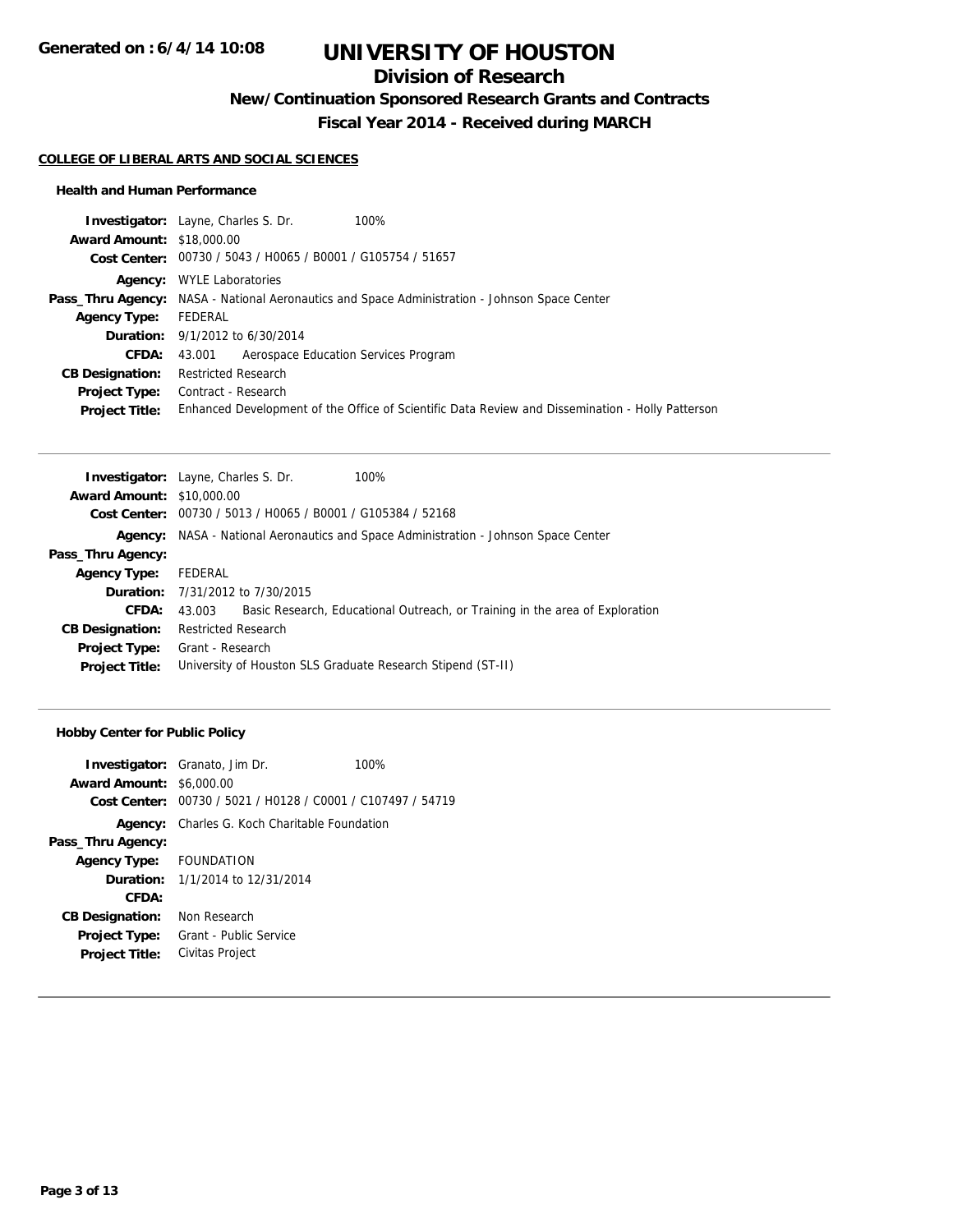## **Division of Research**

**New/Continuation Sponsored Research Grants and Contracts**

**Fiscal Year 2014 - Received during MARCH**

### **COLLEGE OF LIBERAL ARTS AND SOCIAL SCIENCES**

### **Health and Human Performance**

| <b>Investigator:</b> Layne, Charles S. Dr.<br>100%                                                   |
|------------------------------------------------------------------------------------------------------|
| <b>Award Amount: \$18,000.00</b>                                                                     |
| Cost Center: 00730 / 5043 / H0065 / B0001 / G105754 / 51657                                          |
| <b>Agency:</b> WYLE Laboratories                                                                     |
| <b>Pass_Thru Agency:</b> NASA - National Aeronautics and Space Administration - Johnson Space Center |
| FEDERAL                                                                                              |
| <b>Duration:</b> 9/1/2012 to 6/30/2014                                                               |
| Aerospace Education Services Program<br>43.001                                                       |
| <b>Restricted Research</b>                                                                           |
| Contract - Research                                                                                  |
| Enhanced Development of the Office of Scientific Data Review and Dissemination - Holly Patterson     |
|                                                                                                      |

| <b>Investigator:</b> Layne, Charles S. Dr.                     |                                                                              |
|----------------------------------------------------------------|------------------------------------------------------------------------------|
| <b>Award Amount: \$10,000.00</b>                               |                                                                              |
| 00730 / 5013 / H0065 / B0001 / G105384 / 52168<br>Cost Center: |                                                                              |
|                                                                | NASA - National Aeronautics and Space Administration - Johnson Space Center  |
|                                                                |                                                                              |
| FEDERAL                                                        |                                                                              |
| <b>Duration:</b> 7/31/2012 to 7/30/2015                        |                                                                              |
| 43.003                                                         | Basic Research, Educational Outreach, or Training in the area of Exploration |
| <b>Restricted Research</b>                                     |                                                                              |
| Grant - Research                                               |                                                                              |
|                                                                |                                                                              |
|                                                                | 100%<br>University of Houston SLS Graduate Research Stipend (ST-II)          |

## **Hobby Center for Public Policy**

| <b>Award Amount: \$6,000.00</b> | <b>Investigator:</b> Granato, Jim Dr.                       | 100% |
|---------------------------------|-------------------------------------------------------------|------|
|                                 | Cost Center: 00730 / 5021 / H0128 / C0001 / C107497 / 54719 |      |
| Agency:                         | Charles G. Koch Charitable Foundation                       |      |
| Pass_Thru Agency:               |                                                             |      |
| Agency Type: FOUNDATION         |                                                             |      |
|                                 | <b>Duration:</b> 1/1/2014 to 12/31/2014                     |      |
| CFDA:                           |                                                             |      |
| <b>CB Designation:</b>          | Non Research                                                |      |
| <b>Project Type:</b>            | Grant - Public Service                                      |      |
| <b>Project Title:</b>           | Civitas Project                                             |      |
|                                 |                                                             |      |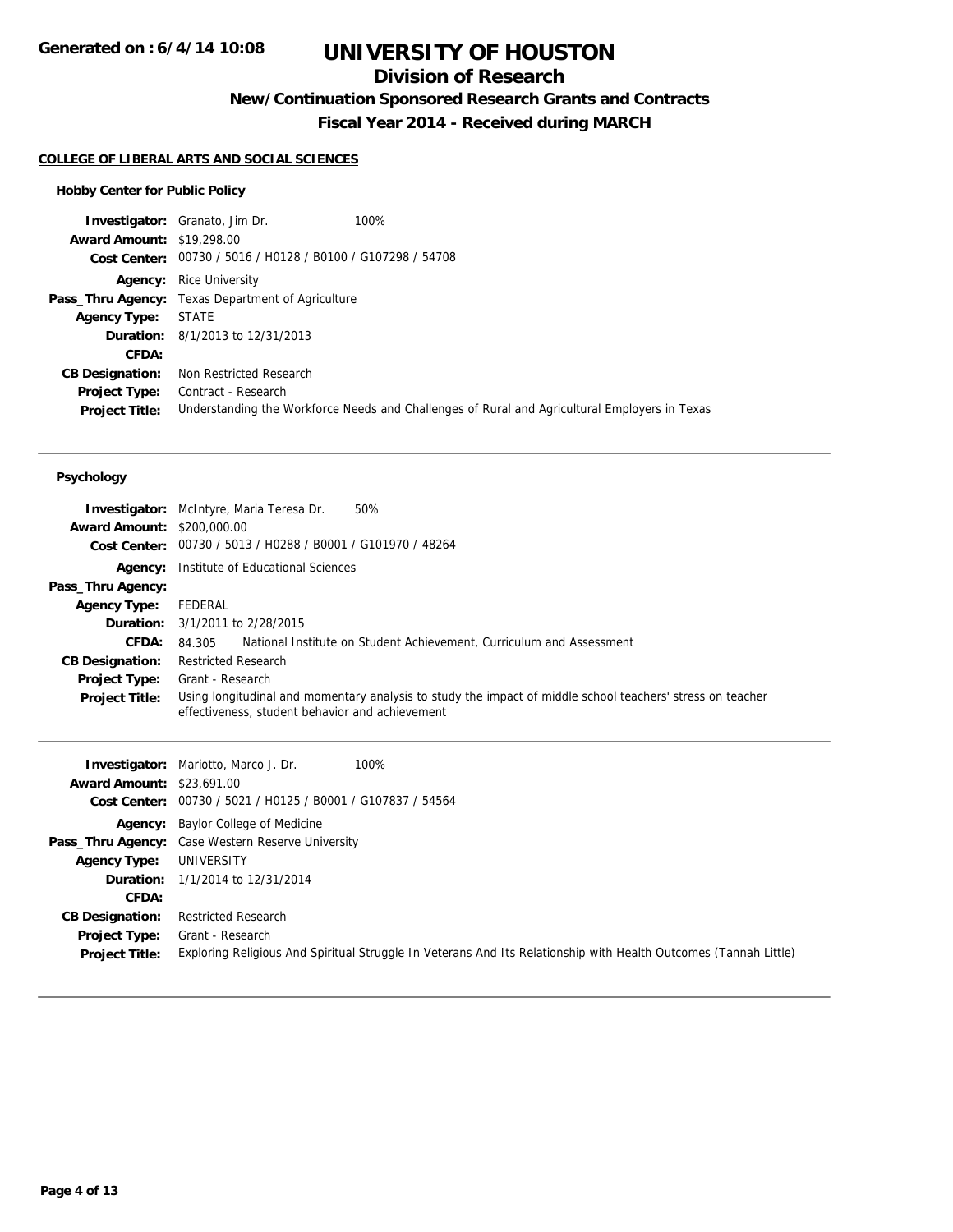## **Division of Research**

**New/Continuation Sponsored Research Grants and Contracts**

**Fiscal Year 2014 - Received during MARCH**

## **COLLEGE OF LIBERAL ARTS AND SOCIAL SCIENCES**

## **Hobby Center for Public Policy**

|                                  | 100%<br><b>Investigator:</b> Granato, Jim Dr.               |                                                                                               |
|----------------------------------|-------------------------------------------------------------|-----------------------------------------------------------------------------------------------|
| <b>Award Amount: \$19,298.00</b> |                                                             |                                                                                               |
|                                  | Cost Center: 00730 / 5016 / H0128 / B0100 / G107298 / 54708 |                                                                                               |
| Agency:                          | Rice University                                             |                                                                                               |
|                                  | <b>Pass_Thru Agency:</b> Texas Department of Agriculture    |                                                                                               |
| <b>Agency Type:</b>              | STATE                                                       |                                                                                               |
|                                  | <b>Duration:</b> 8/1/2013 to 12/31/2013                     |                                                                                               |
| CFDA:                            |                                                             |                                                                                               |
| <b>CB Designation:</b>           | Non Restricted Research                                     |                                                                                               |
| <b>Project Type:</b>             | Contract - Research                                         |                                                                                               |
| <b>Project Title:</b>            |                                                             | Understanding the Workforce Needs and Challenges of Rural and Agricultural Employers in Texas |

### **Psychology**

| <b>Award Amount: \$200,000.00</b> | <b>Investigator:</b> McIntyre, Maria Teresa Dr.<br>50%<br>Cost Center: 00730 / 5013 / H0288 / B0001 / G101970 / 48264                                         |
|-----------------------------------|---------------------------------------------------------------------------------------------------------------------------------------------------------------|
|                                   |                                                                                                                                                               |
| Agency:                           | Institute of Educational Sciences                                                                                                                             |
| Pass_Thru Agency:                 |                                                                                                                                                               |
| <b>Agency Type:</b>               | FEDERAL                                                                                                                                                       |
|                                   | <b>Duration:</b> 3/1/2011 to 2/28/2015                                                                                                                        |
| <b>CFDA:</b>                      | National Institute on Student Achievement, Curriculum and Assessment<br>84.305                                                                                |
| <b>CB Designation:</b>            | <b>Restricted Research</b>                                                                                                                                    |
| <b>Project Type:</b>              | Grant - Research                                                                                                                                              |
| <b>Project Title:</b>             | Using longitudinal and momentary analysis to study the impact of middle school teachers' stress on teacher<br>effectiveness, student behavior and achievement |

|                                  | <b>Investigator:</b> Mariotto, Marco J. Dr.<br>100%                                                              |
|----------------------------------|------------------------------------------------------------------------------------------------------------------|
| <b>Award Amount: \$23,691.00</b> |                                                                                                                  |
| Cost Center:                     | 00730 / 5021 / H0125 / B0001 / G107837 / 54564                                                                   |
|                                  | <b>Agency:</b> Baylor College of Medicine                                                                        |
|                                  | <b>Pass_Thru Agency:</b> Case Western Reserve University                                                         |
| <b>Agency Type:</b>              | UNIVERSITY                                                                                                       |
|                                  | <b>Duration:</b> 1/1/2014 to 12/31/2014                                                                          |
| <b>CFDA:</b>                     |                                                                                                                  |
| <b>CB Designation:</b>           | <b>Restricted Research</b>                                                                                       |
| Project Type:                    | Grant - Research                                                                                                 |
| <b>Project Title:</b>            | Exploring Religious And Spiritual Struggle In Veterans And Its Relationship with Health Outcomes (Tannah Little) |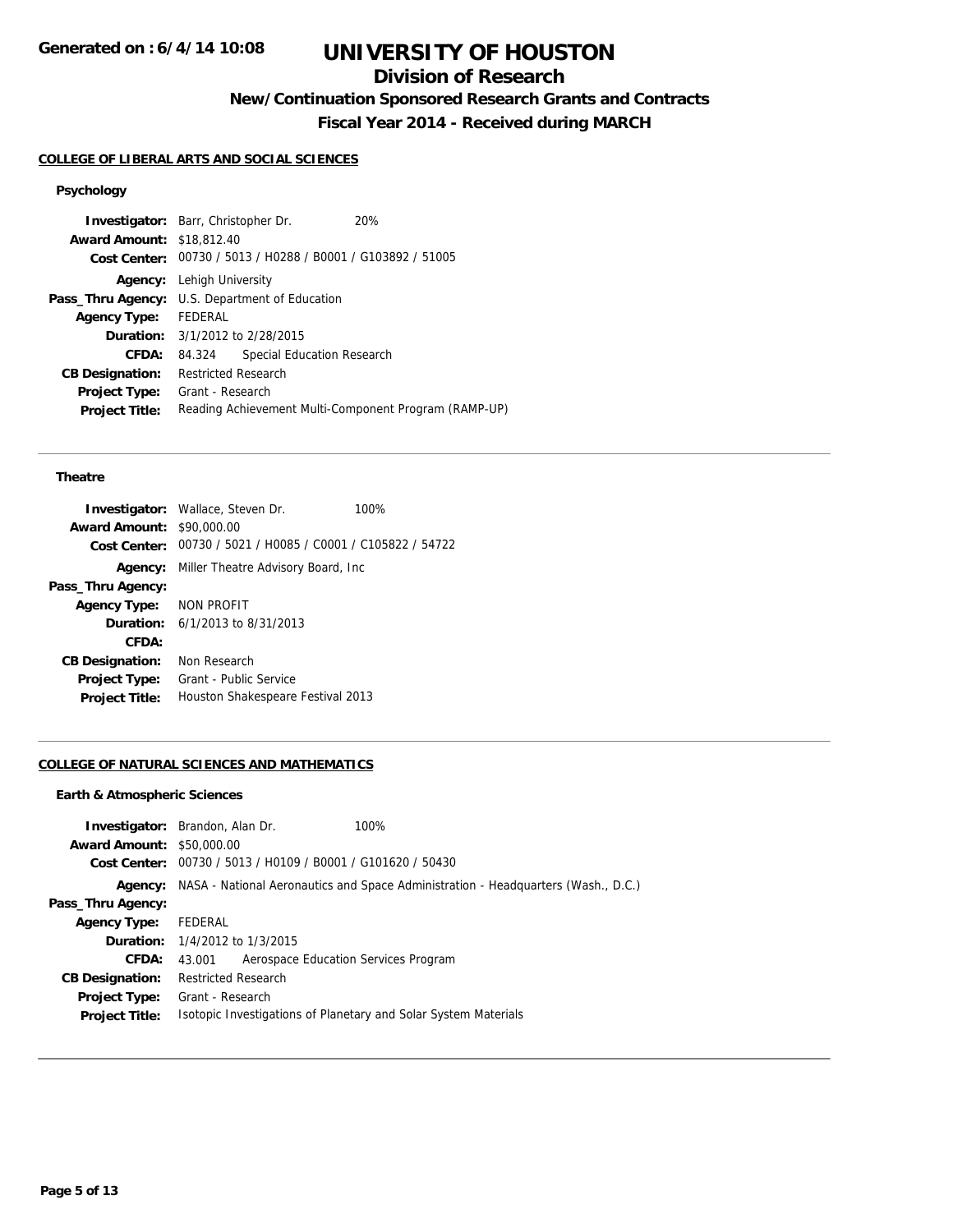## **Division of Research**

**New/Continuation Sponsored Research Grants and Contracts**

**Fiscal Year 2014 - Received during MARCH**

## **COLLEGE OF LIBERAL ARTS AND SOCIAL SCIENCES**

# **Psychology**

| <b>Investigator:</b> Barr, Christopher Dr. |                                                |                                                             | 20%                                                   |
|--------------------------------------------|------------------------------------------------|-------------------------------------------------------------|-------------------------------------------------------|
| <b>Award Amount: \$18,812.40</b>           |                                                |                                                             |                                                       |
|                                            |                                                | Cost Center: 00730 / 5013 / H0288 / B0001 / G103892 / 51005 |                                                       |
|                                            | <b>Agency:</b> Lehigh University               |                                                             |                                                       |
|                                            | Pass_Thru Agency: U.S. Department of Education |                                                             |                                                       |
| Agency Type: FEDERAL                       |                                                |                                                             |                                                       |
|                                            |                                                | <b>Duration:</b> 3/1/2012 to 2/28/2015                      |                                                       |
| CFDA:                                      | 84.324                                         | Special Education Research                                  |                                                       |
| <b>CB Designation:</b>                     | Restricted Research                            |                                                             |                                                       |
| <b>Project Type:</b>                       | Grant - Research                               |                                                             |                                                       |
| <b>Project Title:</b>                      |                                                |                                                             | Reading Achievement Multi-Component Program (RAMP-UP) |
|                                            |                                                |                                                             |                                                       |

### **Theatre**

|                                  | <b>Investigator:</b> Wallace, Steven Dr.                    | 100% |
|----------------------------------|-------------------------------------------------------------|------|
| <b>Award Amount: \$90,000.00</b> |                                                             |      |
|                                  | Cost Center: 00730 / 5021 / H0085 / C0001 / C105822 / 54722 |      |
|                                  | <b>Agency:</b> Miller Theatre Advisory Board, Inc.          |      |
| Pass_Thru Agency:                |                                                             |      |
| Agency Type: NON PROFIT          |                                                             |      |
|                                  | <b>Duration:</b> $6/1/2013$ to $8/31/2013$                  |      |
| CFDA:                            |                                                             |      |
| <b>CB Designation:</b>           | Non Research                                                |      |
| <b>Project Type:</b>             | Grant - Public Service                                      |      |
| <b>Project Title:</b>            | Houston Shakespeare Festival 2013                           |      |
|                                  |                                                             |      |

### **COLLEGE OF NATURAL SCIENCES AND MATHEMATICS**

#### **Earth & Atmospheric Sciences**

|                                  | <b>Investigator:</b> Brandon, Alan Dr.                      | 100%                                                                                      |
|----------------------------------|-------------------------------------------------------------|-------------------------------------------------------------------------------------------|
| <b>Award Amount: \$50,000.00</b> |                                                             |                                                                                           |
|                                  | Cost Center: 00730 / 5013 / H0109 / B0001 / G101620 / 50430 |                                                                                           |
|                                  |                                                             | Agency: NASA - National Aeronautics and Space Administration - Headquarters (Wash., D.C.) |
| Pass_Thru Agency:                |                                                             |                                                                                           |
| <b>Agency Type:</b>              | FEDERAL                                                     |                                                                                           |
|                                  | <b>Duration:</b> 1/4/2012 to 1/3/2015                       |                                                                                           |
| <b>CFDA:</b>                     | Aerospace Education Services Program<br>43.001              |                                                                                           |
| <b>CB Designation:</b>           | <b>Restricted Research</b>                                  |                                                                                           |
|                                  | <b>Project Type:</b> Grant - Research                       |                                                                                           |
| <b>Project Title:</b>            |                                                             | Isotopic Investigations of Planetary and Solar System Materials                           |
|                                  |                                                             |                                                                                           |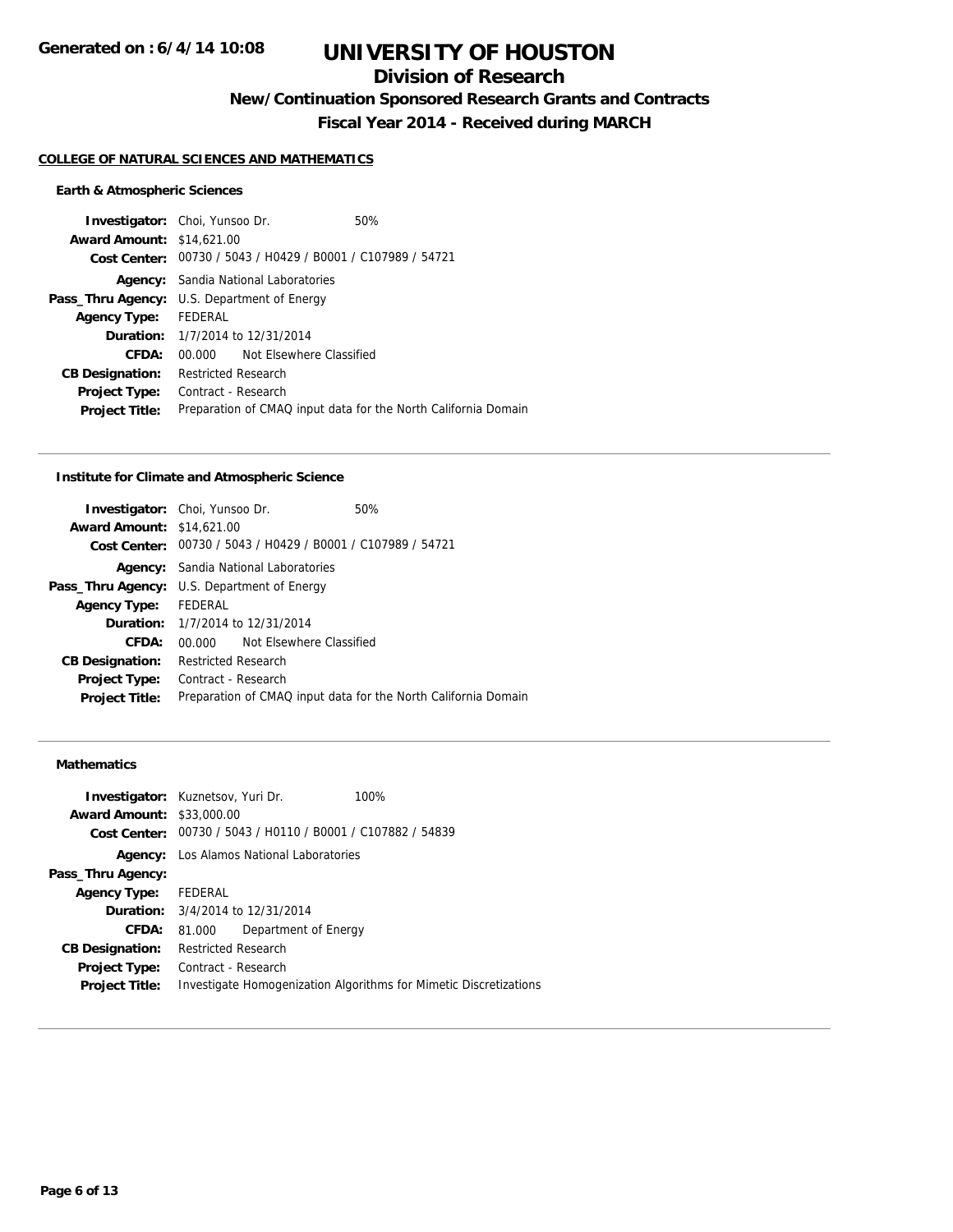## **Division of Research**

**New/Continuation Sponsored Research Grants and Contracts**

**Fiscal Year 2014 - Received during MARCH**

### **COLLEGE OF NATURAL SCIENCES AND MATHEMATICS**

## **Earth & Atmospheric Sciences**

|                      |                          | 50%                                                                                                                                                                                                                                                                                                                                                |
|----------------------|--------------------------|----------------------------------------------------------------------------------------------------------------------------------------------------------------------------------------------------------------------------------------------------------------------------------------------------------------------------------------------------|
|                      |                          |                                                                                                                                                                                                                                                                                                                                                    |
|                      |                          |                                                                                                                                                                                                                                                                                                                                                    |
|                      |                          |                                                                                                                                                                                                                                                                                                                                                    |
|                      |                          |                                                                                                                                                                                                                                                                                                                                                    |
| Agency Type: FEDERAL |                          |                                                                                                                                                                                                                                                                                                                                                    |
|                      |                          |                                                                                                                                                                                                                                                                                                                                                    |
|                      | Not Elsewhere Classified |                                                                                                                                                                                                                                                                                                                                                    |
|                      |                          |                                                                                                                                                                                                                                                                                                                                                    |
|                      |                          |                                                                                                                                                                                                                                                                                                                                                    |
|                      |                          | Preparation of CMAQ input data for the North California Domain                                                                                                                                                                                                                                                                                     |
|                      |                          | <b>Investigator:</b> Choi, Yunsoo Dr.<br><b>Award Amount: \$14,621,00</b><br>Cost Center: 00730 / 5043 / H0429 / B0001 / C107989 / 54721<br><b>Agency:</b> Sandia National Laboratories<br>Pass_Thru Agency: U.S. Department of Energy<br><b>Duration:</b> 1/7/2014 to 12/31/2014<br>00.000 O<br><b>Restricted Research</b><br>Contract - Research |

### **Institute for Climate and Atmospheric Science**

|          |                                                                                                   | 50%                                                                                                                                                                                                                                                                                          |
|----------|---------------------------------------------------------------------------------------------------|----------------------------------------------------------------------------------------------------------------------------------------------------------------------------------------------------------------------------------------------------------------------------------------------|
|          |                                                                                                   |                                                                                                                                                                                                                                                                                              |
|          |                                                                                                   |                                                                                                                                                                                                                                                                                              |
|          |                                                                                                   |                                                                                                                                                                                                                                                                                              |
|          |                                                                                                   |                                                                                                                                                                                                                                                                                              |
|          |                                                                                                   |                                                                                                                                                                                                                                                                                              |
|          |                                                                                                   |                                                                                                                                                                                                                                                                                              |
| 00.000 O |                                                                                                   |                                                                                                                                                                                                                                                                                              |
|          |                                                                                                   |                                                                                                                                                                                                                                                                                              |
|          |                                                                                                   |                                                                                                                                                                                                                                                                                              |
|          |                                                                                                   | Preparation of CMAQ input data for the North California Domain                                                                                                                                                                                                                               |
|          | <b>Investigator:</b> Choi, Yunsoo Dr.<br><b>Award Amount: \$14,621,00</b><br>Agency Type: FEDERAL | Cost Center: 00730 / 5043 / H0429 / B0001 / C107989 / 54721<br><b>Agency:</b> Sandia National Laboratories<br><b>Pass_Thru Agency:</b> U.S. Department of Energy<br><b>Duration:</b> 1/7/2014 to 12/31/2014<br>Not Elsewhere Classified<br><b>Restricted Research</b><br>Contract - Research |

## **Mathematics**

|                                  | <b>Investigator:</b> Kuznetsov, Yuri Dr.<br>100%                  |
|----------------------------------|-------------------------------------------------------------------|
| <b>Award Amount: \$33,000.00</b> |                                                                   |
|                                  | Cost Center: 00730 / 5043 / H0110 / B0001 / C107882 / 54839       |
| Agency:                          | Los Alamos National Laboratories                                  |
| Pass_Thru Agency:                |                                                                   |
| <b>Agency Type:</b>              | FEDERAL                                                           |
|                                  | <b>Duration:</b> $3/4/2014$ to $12/31/2014$                       |
| CFDA:                            | Department of Energy<br>81.000                                    |
| <b>CB Designation:</b>           | <b>Restricted Research</b>                                        |
| <b>Project Type:</b>             | Contract - Research                                               |
| <b>Project Title:</b>            | Investigate Homogenization Algorithms for Mimetic Discretizations |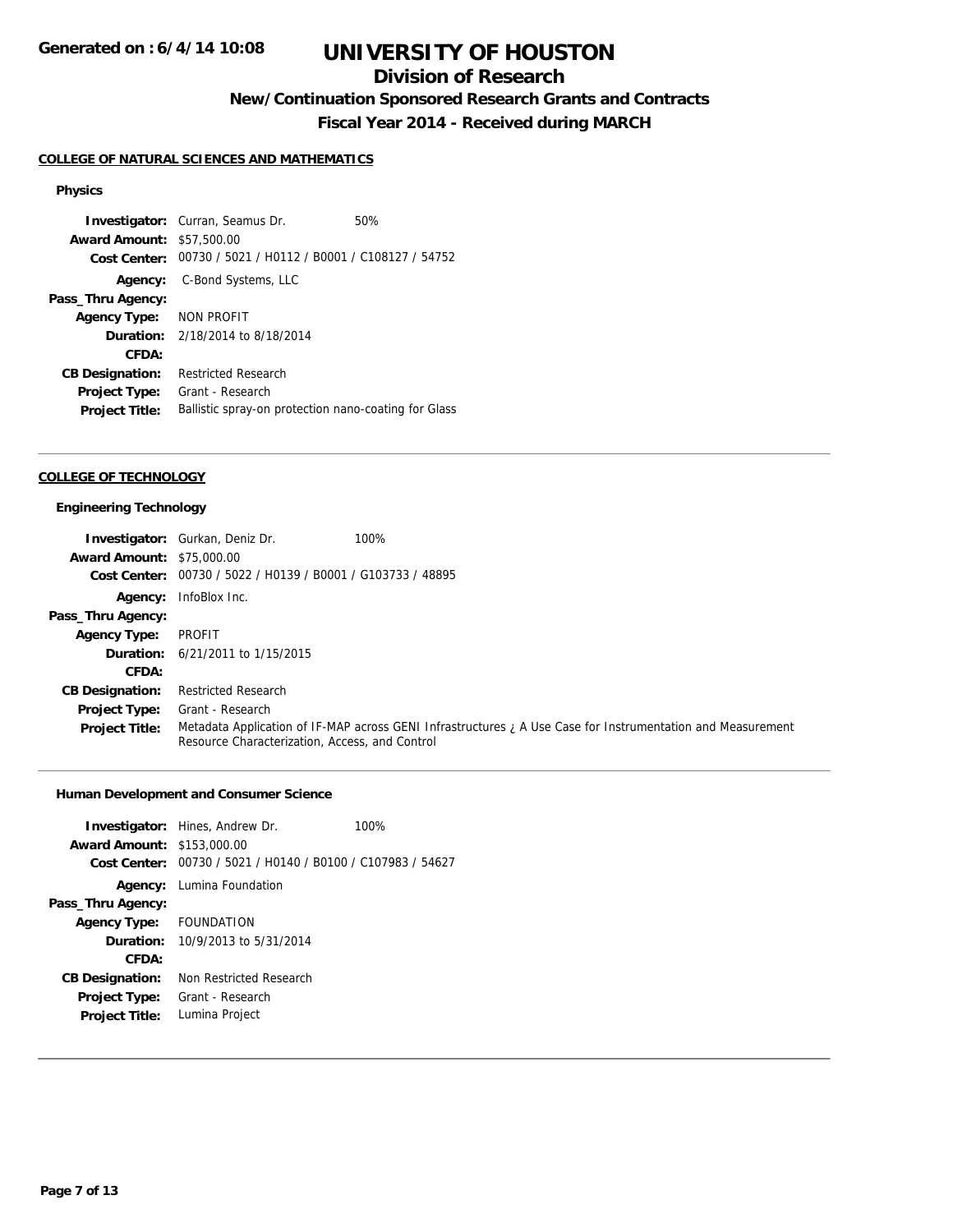## **Division of Research**

**New/Continuation Sponsored Research Grants and Contracts**

**Fiscal Year 2014 - Received during MARCH**

### **COLLEGE OF NATURAL SCIENCES AND MATHEMATICS**

### **Physics**

**Investigator:** Curran, Seamus Dr. 60% **Award Amount:** \$57,500.00 **Cost Center:** 00730 / 5021 / H0112 / B0001 / C108127 / 54752 **Agency:** C-Bond Systems, LLC **Pass\_Thru Agency: Agency Type:** NON PROFIT **Duration:** 2/18/2014 to 8/18/2014 **CFDA: CB Designation:** Restricted Research **Project Type:** Grant - Research Project Title: Ballistic spray-on protection nano-coating for Glass

## **COLLEGE OF TECHNOLOGY**

#### **Engineering Technology**

|                                  | <b>Investigator:</b> Gurkan, Deniz Dr.                      | 100%                                                                                                        |
|----------------------------------|-------------------------------------------------------------|-------------------------------------------------------------------------------------------------------------|
| <b>Award Amount: \$75,000.00</b> |                                                             |                                                                                                             |
|                                  | Cost Center: 00730 / 5022 / H0139 / B0001 / G103733 / 48895 |                                                                                                             |
|                                  | Agency: InfoBlox Inc.                                       |                                                                                                             |
| Pass_Thru Agency:                |                                                             |                                                                                                             |
| <b>Agency Type:</b>              | PROFIT                                                      |                                                                                                             |
|                                  | <b>Duration:</b> 6/21/2011 to 1/15/2015                     |                                                                                                             |
| CFDA:                            |                                                             |                                                                                                             |
| <b>CB Designation:</b>           | <b>Restricted Research</b>                                  |                                                                                                             |
| <b>Project Type:</b>             | Grant - Research                                            |                                                                                                             |
| <b>Project Title:</b>            | Resource Characterization, Access, and Control              | Metadata Application of IF-MAP across GENI Infrastructures ; A Use Case for Instrumentation and Measurement |

## **Human Development and Consumer Science**

|                                   | <b>Investigator:</b> Hines, Andrew Dr.                      | 100% |
|-----------------------------------|-------------------------------------------------------------|------|
| <b>Award Amount: \$153,000.00</b> |                                                             |      |
|                                   | Cost Center: 00730 / 5021 / H0140 / B0100 / C107983 / 54627 |      |
|                                   | <b>Agency:</b> Lumina Foundation                            |      |
| Pass_Thru Agency:                 |                                                             |      |
| Agency Type: FOUNDATION           |                                                             |      |
|                                   | <b>Duration:</b> $10/9/2013$ to $5/31/2014$                 |      |
| CFDA:                             |                                                             |      |
| <b>CB Designation:</b>            | Non Restricted Research                                     |      |
| <b>Project Type:</b>              | Grant - Research                                            |      |
| <b>Project Title:</b>             | Lumina Project                                              |      |
|                                   |                                                             |      |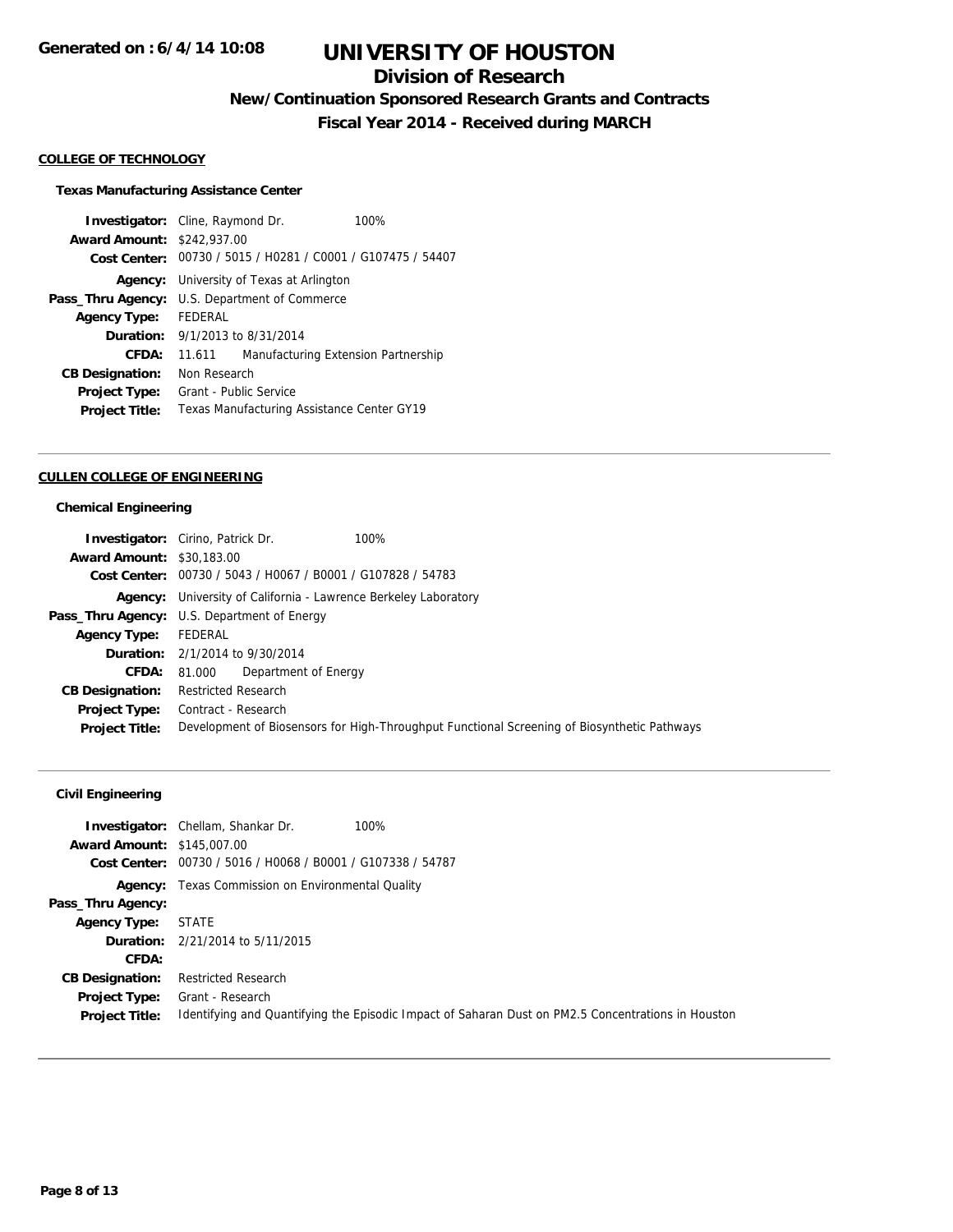## **Division of Research**

**New/Continuation Sponsored Research Grants and Contracts**

**Fiscal Year 2014 - Received during MARCH**

### **COLLEGE OF TECHNOLOGY**

### **Texas Manufacturing Assistance Center**

**Investigator:** Cline, Raymond Dr. 100% **Award Amount:** \$242,937.00 **Cost Center:** 00730 / 5015 / H0281 / C0001 / G107475 / 54407 **Agency:** University of Texas at Arlington **Pass\_Thru Agency:** U.S. Department of Commerce **Agency Type:** FEDERAL **Duration:** 9/1/2013 to 8/31/2014 **CFDA:** 11.611 Manufacturing Extension Partnership **CB Designation:** Non Research **Project Type:** Grant - Public Service **Project Title:** Texas Manufacturing Assistance Center GY19

#### **CULLEN COLLEGE OF ENGINEERING**

#### **Chemical Engineering**

|                                  | <b>Investigator:</b> Cirino, Patrick Dr.                               | 100%                                                                                        |
|----------------------------------|------------------------------------------------------------------------|---------------------------------------------------------------------------------------------|
| <b>Award Amount: \$30,183,00</b> |                                                                        |                                                                                             |
|                                  | Cost Center: 00730 / 5043 / H0067 / B0001 / G107828 / 54783            |                                                                                             |
|                                  | <b>Agency:</b> University of California - Lawrence Berkeley Laboratory |                                                                                             |
|                                  | <b>Pass_Thru Agency:</b> U.S. Department of Energy                     |                                                                                             |
| <b>Agency Type:</b>              | FEDERAL                                                                |                                                                                             |
|                                  | <b>Duration:</b> 2/1/2014 to 9/30/2014                                 |                                                                                             |
| <b>CFDA:</b>                     | Department of Energy<br>81.000                                         |                                                                                             |
| <b>CB Designation:</b>           | Restricted Research                                                    |                                                                                             |
|                                  | <b>Project Type:</b> Contract - Research                               |                                                                                             |
| <b>Project Title:</b>            |                                                                        | Development of Biosensors for High-Throughput Functional Screening of Biosynthetic Pathways |

## **Civil Engineering**

| <b>Award Amount: \$145,007.00</b>             | 100%<br><b>Investigator:</b> Chellam, Shankar Dr.<br>Cost Center: 00730 / 5016 / H0068 / B0001 / G107338 / 54787       |
|-----------------------------------------------|------------------------------------------------------------------------------------------------------------------------|
|                                               | <b>Agency:</b> Texas Commission on Environmental Quality                                                               |
| Pass_Thru Agency:                             |                                                                                                                        |
| <b>Agency Type:</b>                           | STATE                                                                                                                  |
|                                               | <b>Duration:</b> 2/21/2014 to 5/11/2015                                                                                |
| CFDA:                                         |                                                                                                                        |
| <b>CB Designation:</b>                        | <b>Restricted Research</b>                                                                                             |
| <b>Project Type:</b><br><b>Project Title:</b> | Grant - Research<br>Identifying and Quantifying the Episodic Impact of Saharan Dust on PM2.5 Concentrations in Houston |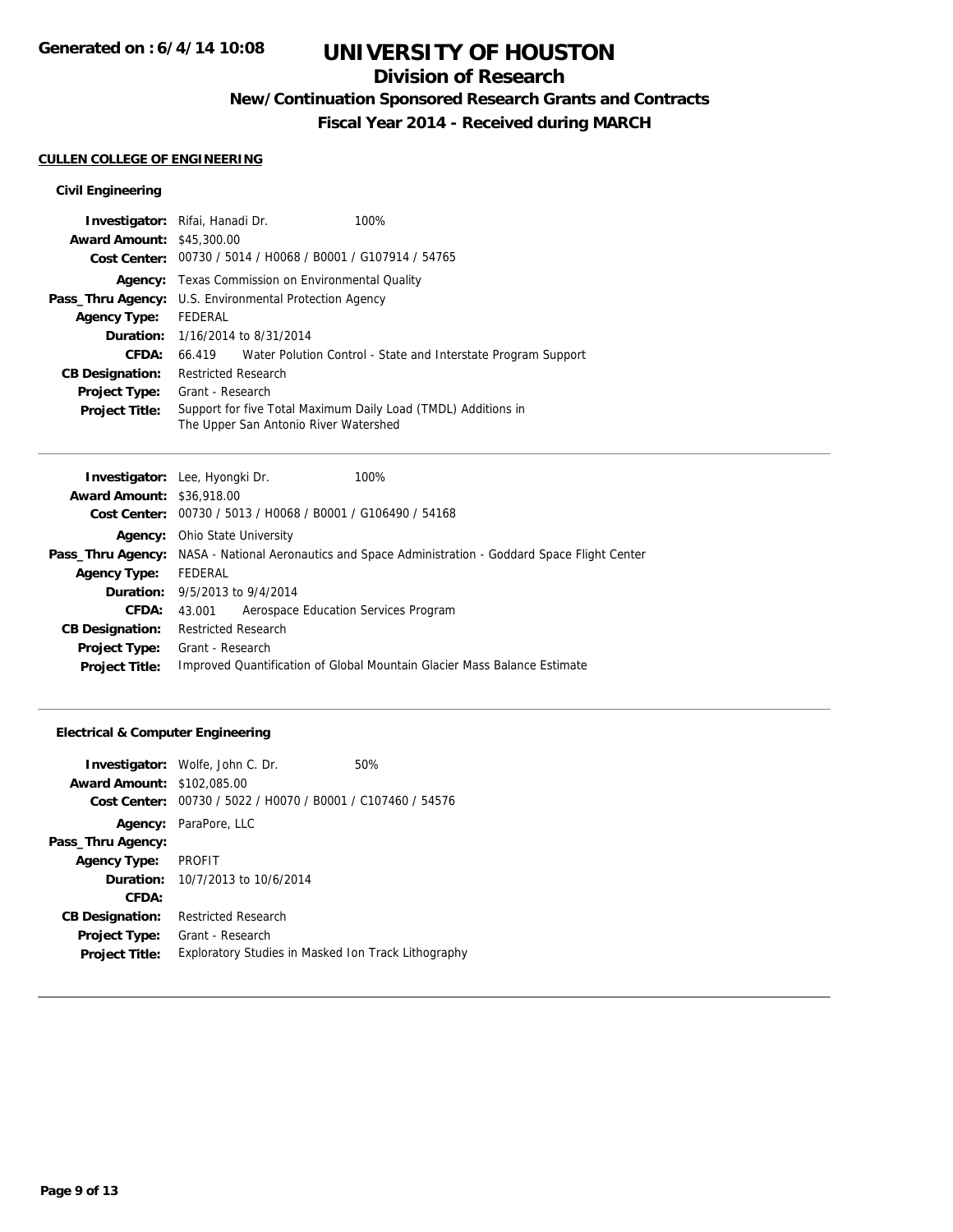## **Division of Research**

**New/Continuation Sponsored Research Grants and Contracts**

**Fiscal Year 2014 - Received during MARCH**

## **CULLEN COLLEGE OF ENGINEERING**

## **Civil Engineering**

| <b>Investigator:</b> Rifai, Hanadi Dr.                        |                            |                                                             | 100%                                                                 |
|---------------------------------------------------------------|----------------------------|-------------------------------------------------------------|----------------------------------------------------------------------|
| <b>Award Amount: \$45,300.00</b>                              |                            |                                                             |                                                                      |
|                                                               |                            | Cost Center: 00730 / 5014 / H0068 / B0001 / G107914 / 54765 |                                                                      |
|                                                               |                            | <b>Agency:</b> Texas Commission on Environmental Quality    |                                                                      |
| <b>Pass_Thru Agency:</b> U.S. Environmental Protection Agency |                            |                                                             |                                                                      |
| <b>Agency Type:</b>                                           | FEDERAL                    |                                                             |                                                                      |
|                                                               |                            | <b>Duration:</b> 1/16/2014 to 8/31/2014                     |                                                                      |
| CFDA:                                                         |                            |                                                             | 66.419 Water Polution Control - State and Interstate Program Support |
| <b>CB Designation:</b>                                        | <b>Restricted Research</b> |                                                             |                                                                      |
| <b>Project Type:</b>                                          | Grant - Research           |                                                             |                                                                      |
| <b>Project Title:</b>                                         |                            | The Upper San Antonio River Watershed                       | Support for five Total Maximum Daily Load (TMDL) Additions in        |

| <b>Investigator:</b> Lee, Hyongki Dr.                       | 100%                                                                                                        |
|-------------------------------------------------------------|-------------------------------------------------------------------------------------------------------------|
| <b>Award Amount: \$36,918.00</b>                            |                                                                                                             |
| Cost Center: 00730 / 5013 / H0068 / B0001 / G106490 / 54168 |                                                                                                             |
| Ohio State University                                       |                                                                                                             |
|                                                             | <b>Pass_Thru Agency:</b> NASA - National Aeronautics and Space Administration - Goddard Space Flight Center |
| FEDERAL                                                     |                                                                                                             |
| <b>Duration:</b> 9/5/2013 to 9/4/2014                       |                                                                                                             |
| Aerospace Education Services Program<br>43.001              |                                                                                                             |
| <b>Restricted Research</b>                                  |                                                                                                             |
| Grant - Research                                            |                                                                                                             |
|                                                             | Improved Quantification of Global Mountain Glacier Mass Balance Estimate                                    |
|                                                             |                                                                                                             |

## **Electrical & Computer Engineering**

| <b>Award Amount:</b><br>Cost Center: | <b>Investigator:</b> Wolfe, John C. Dr.<br>\$102,085.00<br>00730 / 5022 / H0070 / B0001 / C107460 / 54576 | 50% |
|--------------------------------------|-----------------------------------------------------------------------------------------------------------|-----|
| Agency:                              | ParaPore, LLC                                                                                             |     |
| Pass_Thru Agency:                    |                                                                                                           |     |
| <b>Agency Type:</b>                  | <b>PROFIT</b>                                                                                             |     |
|                                      | <b>Duration:</b> 10/7/2013 to 10/6/2014                                                                   |     |
| CFDA:                                |                                                                                                           |     |
| <b>CB Designation:</b>               | <b>Restricted Research</b>                                                                                |     |
| <b>Project Type:</b>                 | Grant - Research                                                                                          |     |
| <b>Project Title:</b>                | Exploratory Studies in Masked Ion Track Lithography                                                       |     |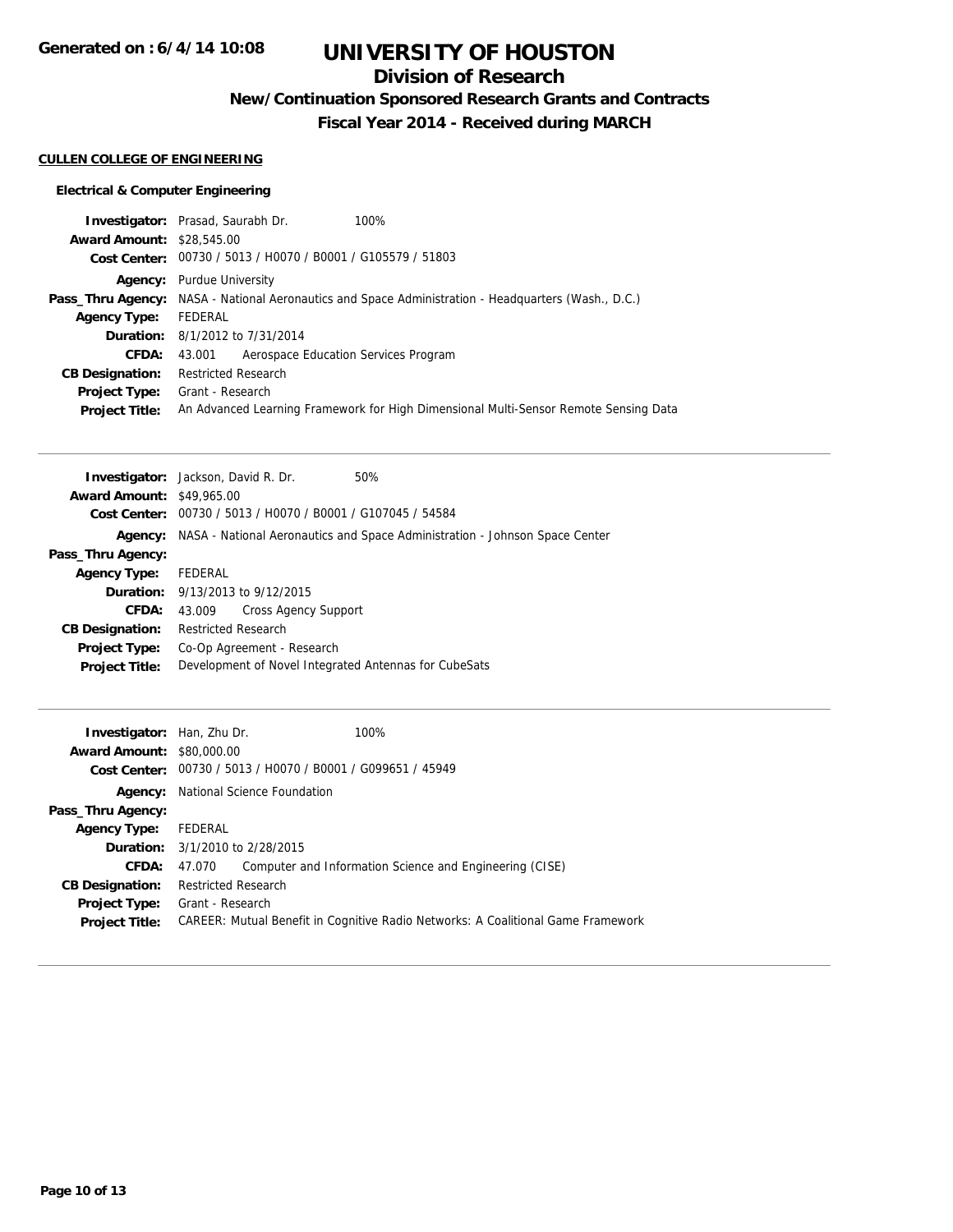## **Division of Research**

**New/Continuation Sponsored Research Grants and Contracts**

**Fiscal Year 2014 - Received during MARCH**

## **CULLEN COLLEGE OF ENGINEERING**

## **Electrical & Computer Engineering**

|                                  | <b>Investigator:</b> Prasad, Saurabh Dr.<br>100%                                                           |
|----------------------------------|------------------------------------------------------------------------------------------------------------|
| <b>Award Amount: \$28,545.00</b> |                                                                                                            |
|                                  | Cost Center: 00730 / 5013 / H0070 / B0001 / G105579 / 51803                                                |
|                                  | <b>Agency:</b> Purdue University                                                                           |
|                                  | <b>Pass_Thru Agency:</b> NASA - National Aeronautics and Space Administration - Headquarters (Wash., D.C.) |
| <b>Agency Type:</b>              | FEDERAL                                                                                                    |
|                                  | <b>Duration:</b> 8/1/2012 to 7/31/2014                                                                     |
| <b>CFDA:</b>                     | 43.001 Aerospace Education Services Program                                                                |
| <b>CB Designation:</b>           | <b>Restricted Research</b>                                                                                 |
| <b>Project Type:</b>             | Grant - Research                                                                                           |
| <b>Project Title:</b>            | An Advanced Learning Framework for High Dimensional Multi-Sensor Remote Sensing Data                       |

| <b>Investigator:</b> Jackson, David R. Dr. |                                                                             |                                                | 50% |
|--------------------------------------------|-----------------------------------------------------------------------------|------------------------------------------------|-----|
| <b>Award Amount: \$49,965.00</b>           |                                                                             |                                                |     |
| Cost Center:                               |                                                                             | 00730 / 5013 / H0070 / B0001 / G107045 / 54584 |     |
| Aaencv:                                    | NASA - National Aeronautics and Space Administration - Johnson Space Center |                                                |     |
| Pass_Thru Agency:                          |                                                                             |                                                |     |
| <b>Agency Type:</b>                        | FEDERAL                                                                     |                                                |     |
|                                            |                                                                             | <b>Duration:</b> 9/13/2013 to 9/12/2015        |     |
| <b>CFDA:</b>                               | 43.009                                                                      | Cross Agency Support                           |     |
| <b>CB Designation:</b>                     | <b>Restricted Research</b>                                                  |                                                |     |
| <b>Project Type:</b>                       | Co-Op Agreement - Research                                                  |                                                |     |
| <b>Project Title:</b>                      | Development of Novel Integrated Antennas for CubeSats                       |                                                |     |

| <b>Investigator:</b> Han, Zhu Dr.<br><b>Award Amount: \$80,000.00</b> | 100%<br>Cost Center: 00730 / 5013 / H0070 / B0001 / G099651 / 45949              |
|-----------------------------------------------------------------------|----------------------------------------------------------------------------------|
|                                                                       | <b>Agency:</b> National Science Foundation                                       |
| Pass_Thru Agency:                                                     |                                                                                  |
| <b>Agency Type:</b>                                                   | FEDERAL                                                                          |
|                                                                       | <b>Duration:</b> 3/1/2010 to 2/28/2015                                           |
| <b>CFDA:</b>                                                          | Computer and Information Science and Engineering (CISE)<br>47.070                |
| <b>CB Designation:</b>                                                | <b>Restricted Research</b>                                                       |
| Project Type:                                                         | Grant - Research                                                                 |
| <b>Project Title:</b>                                                 | CAREER: Mutual Benefit in Cognitive Radio Networks: A Coalitional Game Framework |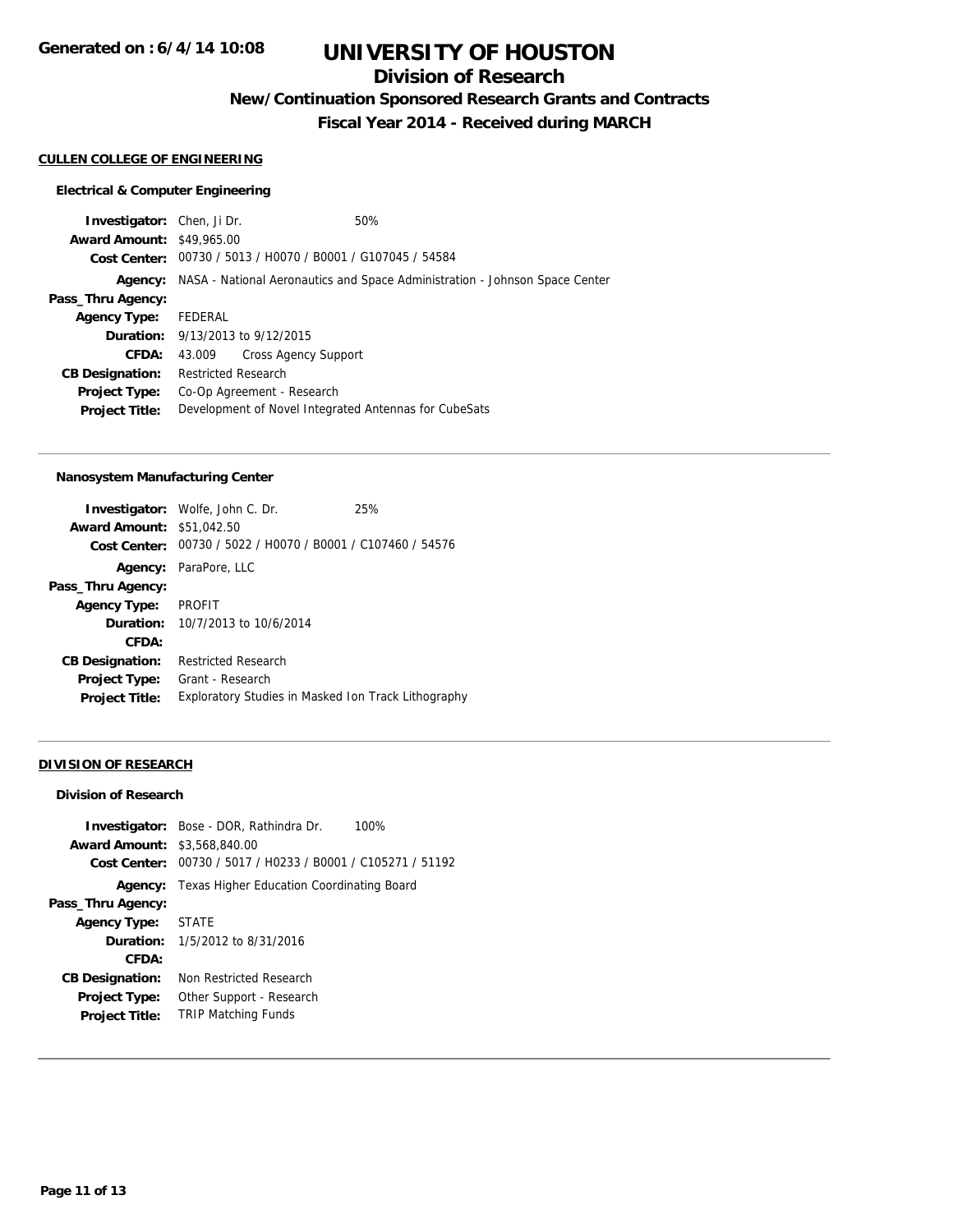## **Division of Research**

**New/Continuation Sponsored Research Grants and Contracts**

**Fiscal Year 2014 - Received during MARCH**

### **CULLEN COLLEGE OF ENGINEERING**

### **Electrical & Computer Engineering**

**Investigator:** Chen, Ji Dr. 60% **Award Amount:** \$49,965.00 **Cost Center:** 00730 / 5013 / H0070 / B0001 / G107045 / 54584 **Agency:** NASA - National Aeronautics and Space Administration - Johnson Space Center **Pass\_Thru Agency: Agency Type:** FEDERAL **Duration:** 9/13/2013 to 9/12/2015 **CFDA:** 43.009 Cross Agency Support **CB Designation:** Restricted Research **Project Type:** Co-Op Agreement - Research **Project Title:** Development of Novel Integrated Antennas for CubeSats

### **Nanosystem Manufacturing Center**

|                                  | <b>Investigator:</b> Wolfe, John C. Dr.                     | 25% |
|----------------------------------|-------------------------------------------------------------|-----|
| <b>Award Amount: \$51,042.50</b> |                                                             |     |
|                                  | Cost Center: 00730 / 5022 / H0070 / B0001 / C107460 / 54576 |     |
|                                  | <b>Agency:</b> ParaPore, LLC                                |     |
| Pass_Thru Agency:                |                                                             |     |
| <b>Agency Type:</b>              | PROFIT                                                      |     |
|                                  | <b>Duration:</b> $10/7/2013$ to $10/6/2014$                 |     |
| CFDA:                            |                                                             |     |
| <b>CB Designation:</b>           | <b>Restricted Research</b>                                  |     |
| <b>Project Type:</b>             | Grant - Research                                            |     |
| <b>Project Title:</b>            | Exploratory Studies in Masked Ion Track Lithography         |     |

### **DIVISION OF RESEARCH**

#### **Division of Research**

|                                     | <b>Investigator:</b> Bose - DOR, Rathindra Dr.<br>100%      |
|-------------------------------------|-------------------------------------------------------------|
| <b>Award Amount: \$3,568,840.00</b> |                                                             |
|                                     | Cost Center: 00730 / 5017 / H0233 / B0001 / C105271 / 51192 |
| Agency:                             | Texas Higher Education Coordinating Board                   |
| Pass_Thru Agency:                   |                                                             |
| Agency Type:                        | <b>STATE</b>                                                |
|                                     | <b>Duration:</b> $1/5/2012$ to $8/31/2016$                  |
| CFDA:                               |                                                             |
| <b>CB Designation:</b>              | Non Restricted Research                                     |
| <b>Project Type:</b>                | Other Support - Research                                    |
| <b>Project Title:</b>               | <b>TRIP Matching Funds</b>                                  |
|                                     |                                                             |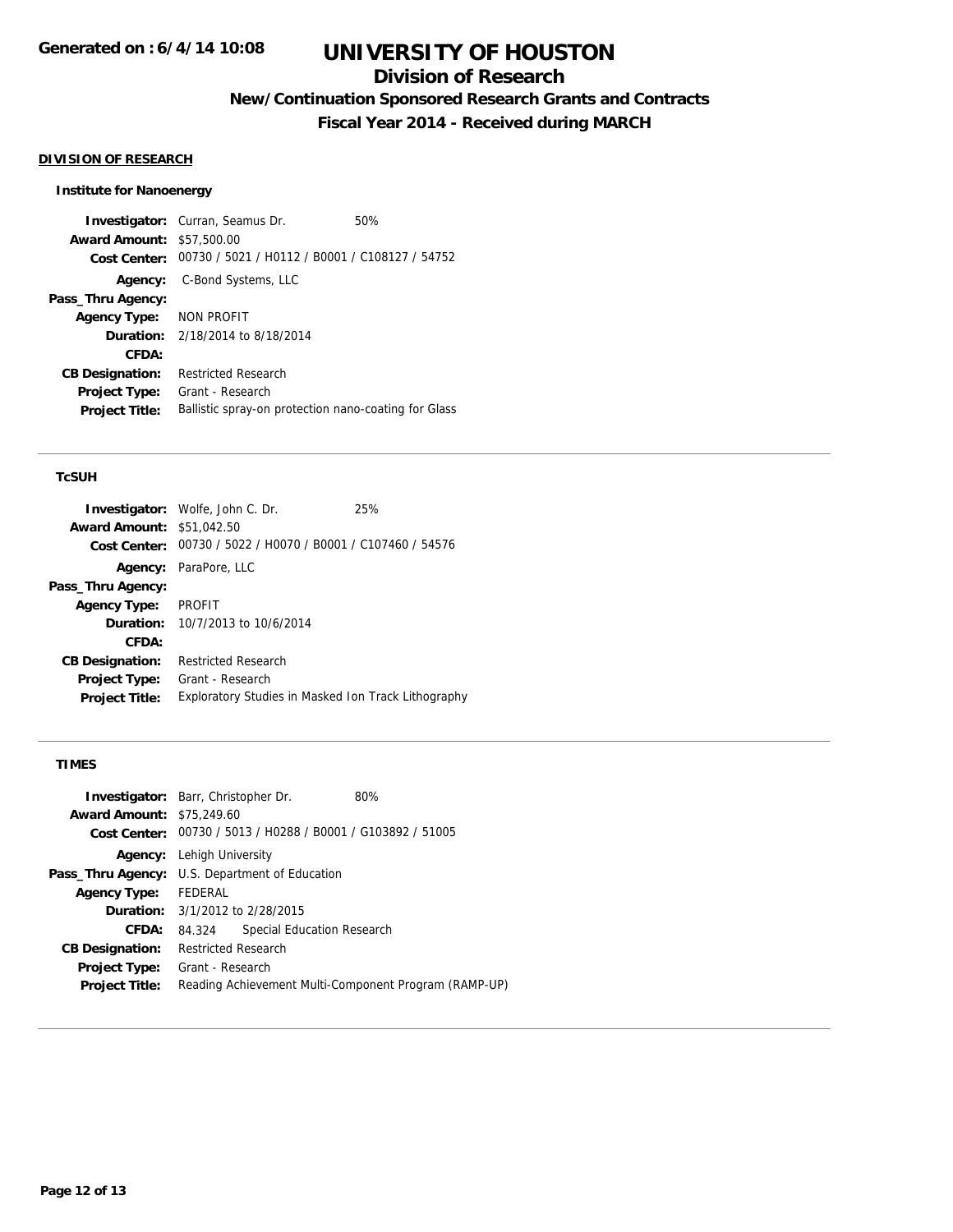## **Division of Research**

**New/Continuation Sponsored Research Grants and Contracts**

**Fiscal Year 2014 - Received during MARCH**

### **DIVISION OF RESEARCH**

### **Institute for Nanoenergy**

**Investigator:** Curran, Seamus Dr. 60% **Award Amount:** \$57,500.00 **Cost Center:** 00730 / 5021 / H0112 / B0001 / C108127 / 54752 **Agency:** C-Bond Systems, LLC **Pass\_Thru Agency: Agency Type:** NON PROFIT **Duration:** 2/18/2014 to 8/18/2014 **CFDA: CB Designation:** Restricted Research **Project Type:** Grant - Research Project Title: Ballistic spray-on protection nano-coating for Glass

### **TcSUH**

|                                  | <b>Investigator:</b> Wolfe, John C. Dr.                     | 25% |
|----------------------------------|-------------------------------------------------------------|-----|
| <b>Award Amount: \$51,042.50</b> |                                                             |     |
|                                  | Cost Center: 00730 / 5022 / H0070 / B0001 / C107460 / 54576 |     |
|                                  | Agency: ParaPore, LLC                                       |     |
| Pass_Thru Agency:                |                                                             |     |
| <b>Agency Type:</b>              | PROFIT                                                      |     |
|                                  | <b>Duration:</b> 10/7/2013 to 10/6/2014                     |     |
| CFDA:                            |                                                             |     |
| <b>CB Designation:</b>           | <b>Restricted Research</b>                                  |     |
| <b>Project Type:</b>             | Grant - Research                                            |     |
| <b>Project Title:</b>            | Exploratory Studies in Masked Ion Track Lithography         |     |

### **TIMES**

|                                  | <b>Investigator:</b> Barr, Christopher Dr.                  | 80% |
|----------------------------------|-------------------------------------------------------------|-----|
| <b>Award Amount: \$75,249.60</b> |                                                             |     |
|                                  | Cost Center: 00730 / 5013 / H0288 / B0001 / G103892 / 51005 |     |
|                                  | <b>Agency:</b> Lehigh University                            |     |
|                                  | Pass_Thru Agency: U.S. Department of Education              |     |
| <b>Agency Type:</b>              | FEDERAL                                                     |     |
|                                  | <b>Duration:</b> 3/1/2012 to 2/28/2015                      |     |
| <b>CFDA:</b>                     | Special Education Research<br>84.324                        |     |
| <b>CB Designation:</b>           | <b>Restricted Research</b>                                  |     |
| <b>Project Type:</b>             | Grant - Research                                            |     |
| <b>Project Title:</b>            | Reading Achievement Multi-Component Program (RAMP-UP)       |     |